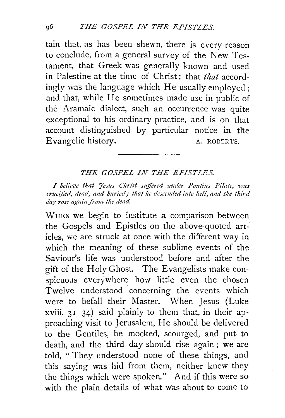tain that, as has been shewn, there is every reason to conclude, from a general survey of the New Testament, that Greek was generally known and used in Palestine at the time of Christ; that *that* accordingly was the language which He usually employed ; and that, while He sometimes made use in public of the Aramaic dialect, such an occurrence was quite exceptional to his ordinary practice, and is on that account distinguished by particular notice in the Evangelic history. A. ROBERTS.

## *THE GOSPEL IN THE EPISTLES.*

*I believe that 'Iesus Christ suffered under Pontius Pilate, was crucified, dead, and buried; that he descended into hell, and the third* day rose again from the dead.

WHEN we begin to institute a comparison between the Gospels and Epistles on the above-quoted articles, we are struck at once with the different way in which the meaning of these sublime events of the Saviour's life was understood before and after the gift of the Holy Ghost. The Evangelists make conspicuous everywhere how little even the chosen Twelve understood concerning the events which were to befall their Master. When Jesus (Luke xviii.  $31-34$ ) said plainly to them that, in their approaching visit to Jerusalem, He should be delivered to the Gentiles, be mocked, scourged, and put to death, and the third day should rise again ; we are told, " They understood none of these things, and this saying was hid from them, neither knew they the things which were spoken." And if this were so with the plain details of what was about to come to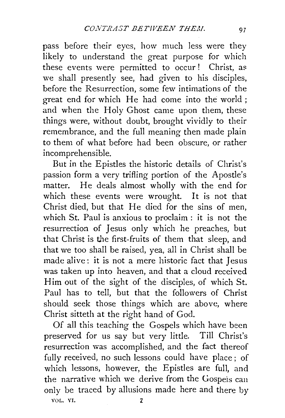pass before their eyes, how much less were they likely to understand the great purpose for which these events were permitted to occur! Christ, as we shall presently see, had given to his disciples, before the Resurrection, some few intimations of the great end for which He had come into the world ; and when the Holy Ghost came upon them, these things were, without doubt, brought vividly to their remembrance, and the full meaning then made plain to them of what before had been obscure, or rather incomprehensible.

But in the Epistles the historic details of Christ's passion form a very trifling portion of the Apostle's matter. He deals almost wholly with the end for which these events were wrought. It is not that Christ died, but that He died for the sins of men, which St. Paul is anxious to proclaim : it is not the resurrection of Jesus only which he preaches, but that Christ is the first-fruits of them that sleep, and that we too shall be raised, yea, all in Christ shall be made alive: it is not a mere historic fact that Jesus was taken up into heaven, and that a cloud received Him out of the sight of the disciples, of which St. Paul has to tell, but that the followers of Christ should seek those things which are above, where Christ sitteth at the right hand of God.

Of all this teaching the Gospels which have been preserved for us say but very little. Till Christ's resurrection was accomplished, and the fact thereof fully received, no such lessons could have place; of which lessons, however, the Epistles are full, and the narrative which we derive from the Gospeis can only be traced by allusions made here and there by

VOL. VI. 2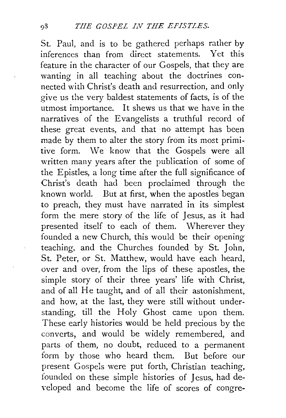St. Paul, and is to be gathered perhaps rather by inferences than from direct statements. Yet this feature in the character of our Gospels, that they are wanting in all teaching about the doctrines connected with Christ's death and resurrection, and only give us the very baldest statements of facts, is of the utmost importance. It shews us that we have in the narratives of the Evangelists a truthful record of these great events, and that no attempt has been made by them to alter the story from its most primitive form. We know that the Gospels were all written many years after the publication of some of the Epistles, a long time after the full significance of Christ's death had been proclaimed through the known world. But at first, when the apostles began to preach, they must have narrated in its simplest form the mere story of the life of Jesus, as it had presented itself to each of them. Wherever they founded a new Church, this would be their opening teaching, and the Churches founded by St. John, St. Peter, or St. Matthew, would have each heard, over and over, from the lips of these apostles, the simple story of their three years' life with Christ, and of all He taught, and of all their astonishment, and how, at the last, they were still without understanding, till the Holy Ghost came upon them. These early histories would be held precious by the converts, and would be widely remembered, and parts of them, no doubt, reduced to a permanent form by those who heard them. But before our present Gospels were put forth, Christian teaching, founded on these simple histories of Jesus, had de veloped and become the life of scores of congre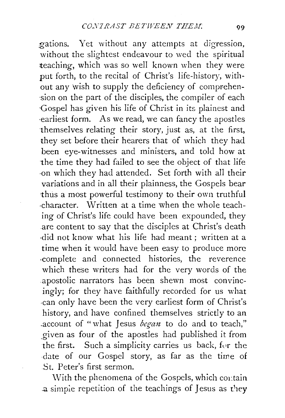gations. Yet without any attempts at digression, without the slightest endeavour to wed the spiritual teaching, which was so well known when they were put forth, to the recital of Christ's life-history, without any wish to supply the deficiency of comprehen-·sion on the part of the disciples, the compiler of each ·Gospel has given his life of Christ in its plainest and ·earliest form. As we read, we can fancy the apostles themselves relating their story, just as, at the first, they set before their hearers that of which they had been eye-witnesses and ministers, and told how at the time they had failed to see the object of that life ·on which they had attended. Set forth with all their variations and in all their plainness, the Gospels bear ·thus a most powerful testimony to their own truthful ·character. Written at a time when the whole teaching of Christ's life could have been expounded, they are content to say that the disciples at Christ's death ·did not know what his life had meant ; written at a time when it would have been easy to produce more ·complete and connected histories, the reverence which these writers had for the very words of the apostolic narrators has been shewn most convincingly; for they have faithfully recorded for us what ·can only have been the very earliest form of Christ's history, and have confined themselves strictly to an account of "what Jesus *began* to do and to teach," given as four of the apostles had published it from the first. Such a simplicity carries us back, for the date of our Gospel story, as far as the *time* of St. Peter's first sermon.

With the phenomena of the Gospels, which contain a simple repetition of the teachings of Jesus as they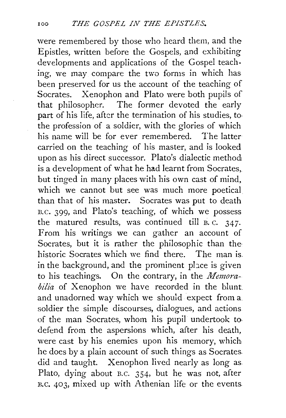were remembered by those who heard them, and the Epistles, written before the Gospels, and exhibiting developments and applications of the Gospel teaching, we may compare the two forms in which has been preserved for us the account of the teaching of Socrates. Xenophon and Plato were both pupils of that philosopher. The former devoted the early part of his life, after the termination of his studies, to. the profession of a soldier, with the glories of which his name will be for ever remembered. The latter carried on the teaching of his master, and is looked upon as his direct successor. Plato's dialectic method is a development of what he had learnt from Socrates, but tinged in many places with his own cast of mind, which we cannot but see was much more poetical than that of his master. Socrates was put to death n.c. 399, and Plato's teaching, of which we possess the matured results, was continued till B. c. 347· From his writings we can gather an account of Socrates, but it is rather the philosophic than the historic Socrates which we find there. The man is. in the background, and the prominent place is given to his teachings. On the contrary, in the *Memorabilia* of Xenophon we have recorded in the blunt. and unadorned way which we should expect from a. soldier the simple discourses, dialogues, and actions of the man Socrates, whom his pupil undertook to. defend from the aspersions which, after his death, were cast by his enemies upon his memory, which he does by a plain account of such things as Socrates. did and taught. Xenophon lived nearly as long as. Plato, dying about B.C. 354, but he was not, after B.c. 403, mixed up with Athenian life or the events.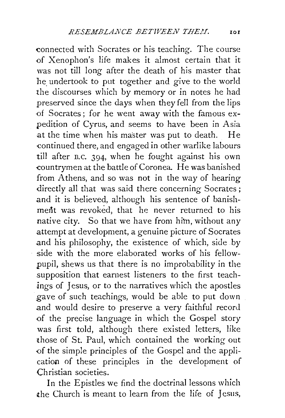connected with Socrates or his teaching. The course of Xenophon's life makes it almost certain that it was not till long after the death of his master that he undertook to put together and give to the world the discourses which by memory or in notes he had preserved since the days when they fell from the lips ·of Socrates; for he went away with the famous expedition of Cyrus, and seems to have been in Asia at the time when his master was put to death. He continued there, and engaged in other warlike labours till after n.c. 394, when he fought against his own countrymen at the battle of Coronea. He was banished from Athens, and so was not in the way of hearing directly all that was said there concerning Socrates ; and it is believed, although his sentence of banishment was revoked, that he never returned to his native city. So that we have from him, without any attempt at development, a genuine picture of Socrates and his philosophy, the existence of which, side by side with the more elaborated works of his fellowpupil, shews us that there is no improbability in the supposition that earnest listeners to the first teachings of Jesus, or to the narratives which the apostles gave of such teachings, would be able to put down and would desire to preserve a very faithful record of the precise language in which the Gospel story was first told, although there existed letters, like those of St. Paul, which contained the working out of the simple principles of the Gospel and the application of these principles in the development of Christian societies.

In the Epistles we find the doctrinal lessons which the Church is meant to learn from the life of Jesus,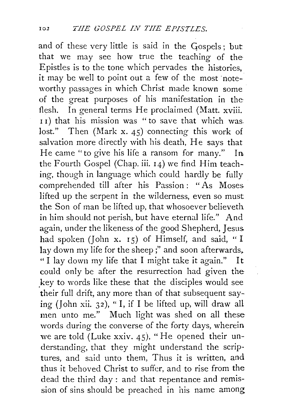and of these very little is said in the Gospels; but that we may see how true the teaching of the Epistles is to the tone which pervades the histories, it may be well to point out a few of the most noteworthy passages in which Christ made known some of the great purposes of his manifestation in the· flesh. In general terms He proclaimed (Matt. xviii. II) that his mission was "to save that which was. lost." Then (Mark x. 45) connecting this work of salvation more directly with his death, He says that He came "to give his life a ransom for many." In the Fourth Gospel (Chap. iii. I4) we find Him teaching, though in language which could hardly be fully comprehended till after his Passion: "As Moses. lifted up the serpent in the wilderness, even so must the Son of man be lifted up, that whosoever believeth in him should not perish, but have eternal life." And again, under the likeness of the good Shepherd, Jesus. had spoken (John x.  $15$ ) of Himself, and said, "I lay down my life for the sheep;" and soon afterwards, " I lay down my life that I might take it again." It could only be after the resurrection had given the key to words like these that the disciples would see their full drift, any more than of that subsequent saying (John xii. 32), "I, if I be lifted up, will draw all men unto me." Much light was shed on all these words during the converse of the forty days, wherein we are told (Luke xxiv. 45), "He opened their understanding, that they *might* understand the scriptures, and said unto them, Thus it is written, and thus it behoved Christ to suffer, and to rise from the dead the third day : and that repentance and remission of sins should be preached in his name among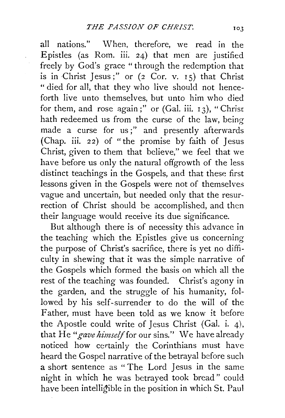all nations." When, therefore, we read in the Epistles (as Rom. iii. 24) that men are justified freely by God's grace "through the redemption that is in Christ Jesus;" or  $(2 \text{ Cor. v. } I5)$  that Christ " died for all, that they who live should not henceforth live unto themselves, but unto him who died for them, and rose again;" or  $(Ga1. iii. 13)$ , "Christ hath redeemed us from the curse of the law, being made a curse for us;" and presently afterwards (Chap. iii. *2* 2) of " the promise by faith of Jesus Christ, given to them that believe," we feel that we have before us only the natural offgrowth of the less distinct teachings in the Gospels, and that these first lessons given in the Gospels were not of themselves vague and uncertain, but needed only that the resurrection of Christ should be accomplished, and then their language would receive its due significance.

But although there is of necessity this advance in the teaching which the Epistles give us concerning the purpose of Christ's sacrifice, there is yet no difficulty in shewing that it was the simple narrative of the Gospels which formed the basis on which all the rest of the teaching was founded. Christ's agony in the garden, and the struggle of his humanity, followed by his self-surrender to do the will of the Father, must have been told as we know it before the Apostle could write of Jesus Christ (Gal. i. 4), that He *"gave himself* for our sins.'' We have already noticed how certainly the Corinthians must have heard the Gospel narrative of the betrayal before such a short sentence as " The Lord Jesus in the same night in which he was betrayed took bread" could have been intelligible in the position in which St. Paul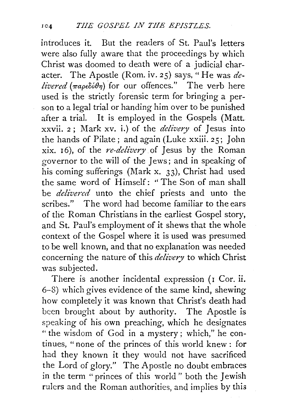introduces it. But the readers of St. Paul's letters were also fully aware that the proceedings by which Christ was doomed to death were of a judicial character. The Apostle (Rom. iv. 25) says," He was *delivered* ( $\pi a \rho \epsilon \delta \phi \theta \eta$ ) for our offences." The verb here used is the strictly forensic term for bringing a person to a legal trial or handing him over to be punished after a trial. It is employed in the Gospels (Matt. xxvii. 2; Mark xv. i.) of the *delivery* of Jesus into the hands of Pilate ; and again (Luke xxiii. *2* 5; John xix. I 6), of the *re-delivery* of Jesus by the Roman governor to the will of the Jews; and in speaking of his coming sufferings (Mark x. 33), Christ had used the same word of Himself: ''The Son of man shall be *delivered* unto the chief priests and unto the scribes." The word had become familiar to the ears of the Roman Christians in the earliest Gospel story, and St. Paul's employment of it shews that the whole context of the Gospel where it is used was presumed to be well known, and that no explanation was needed concerning the nature of this *delivery* to which Christ was subjected.

There is another incidental expression (1 Cor. ii. 6-8) which gives evidence of the same kind, shewing how completely it was known that Christ's death had been brought about by authority. The Apostle is speaking of his own preaching, which he designates "the wisdom of God in a mystery; which," he continues, "none of the princes of this world knew : for had they known it they would not have sacrificed the Lord of glory." The Apostle no doubt embraces in the term "princes of this world " both the Jewish rulers and the Roman authorities, and implies by this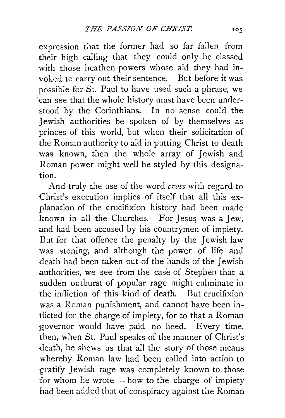expression that the former had so far fallen from their high calling that they could only be classed with those heathen powers whose aid they had invoked to carry out their sentence. But before it was possible for St. Paul to have used such a phrase, we can see that the whole history must have been understood by the Corinthians. In no sense could the Jewish authorities be spoken of by themselves as princes of this world, but when their solicitation of the Roman authority to aid in putting Christ to death was known, then the whole array of Jewish and Roman power might well be styled by this designation.

And truly the use of the word *cross* with regard to Christ's execution implies of itself that all this explanation of the crucifixion history had been made known in all the Churches. For Jesus was a Jew, and had been accused by his countrymen of impiety. But for that offence the penalty by the Jewish law was stoning, and although the power of life and death had been taken 0ut of the hands of the Jewish authorities, we see from the case of Stephen that a sudden outburst of popular rage might culminate in the infliction of this kind of death. But crucifixion was a Roman punishment, and cannot have been inflicted for the charge of impiety, for to that a Roman governor would have paid no heed. Every time, then, when St. Paul speaks of the manner of Christ's death, he shews us that all the story of those means whereby Roman law had been called into action to gratify Jewish rage was completely known to those for whom he wrote  $-\text{how}$  to the charge of impiety had been added that of conspiracy against the Roman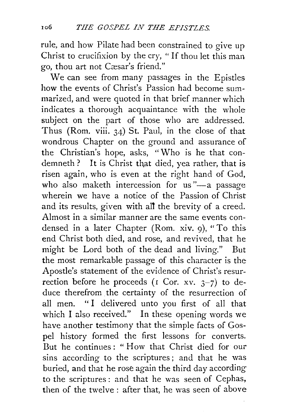rule, and how Pilate had been constrained to give up Christ to crucifixion by the cry, " If thou let this man go, thou art not Cæsar's friend."

We can see from many passages in the Epistles how the events of Christ's Passion had become summarized, and were quoted in that brief manner which indicates a thorough acquaintance with the whole subject on the part of those who are addressed. Thus (Rom. viii. 34) St. Paul, in the close of that wondrous Chapter on the ground and assurance of the Christian's hope, asks, "Who is he that condemneth ? It is Christ that died, yea rather, that is risen again, who is even at the right hand of God, who also maketh intercession for us"-a passage wherein we have a notice of the Passion of Christ and its results, given with all the brevity of a creed. Almost in a similar manner are the same events condensed in a later Chapter (Rom. xiv. 9), "To this end Christ both died, and rose, and revived, that he might be Lord both of the dead and living." But the most remarkable passage of this character is the Apostle's statement of the evidence of Christ's resurrection before he proceeds (1 Cor. xv.  $3-7$ ) to deduce therefrom the certainty of the resurrection of all men. "I delivered unto you first of all that which I also received." In these opening words we have another testimony that the simple facts of Gospel history formed the first lessons for converts. But he continues: "How that Christ died for our sins according to the scriptures; and that he was buried, and that he rose again the third day according to the scriptures : and that he was seen of Cephas, then of the twelve : after that, he was seen of above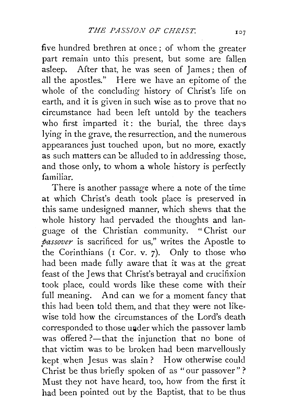five hundred brethren at once ; of whom the greater part remain unto this present, but some are fallen asleep. After that, he was seen of James; then of all the apostles." Here we have an epitome of the whole of the concluding history of Christ's life on earth, and it is given in such wise as to prove that no circumstance had been left untold by the teachers who first imparted it: the burial, the three days lying in the grave, the resurrection, and the numerous appearances just touched upon, but no more, exactly as such matters can be alluded to in addressing those, and those only, to whom a whole history is perfectly familiar.

There is another passage where a note of the time at which Christ's death took place is preserved in this same undesigned manner, which shews that the whole history had pervaded the thoughts and language of the Christian community. " Christ our *passover* is sacrificed for us," writes the Apostle to the Corinthians ( $I$  Cor. v. 7). Only to those who had been made fully aware that *it* was at the great feast of the Jews that Christ's betrayal and crucifixion took place, could words like these come with their full meaning. And can we for a moment fancy that this had been told them, and that they were not likewise told how the circumstances of the Lord's death corresponded to those under which the passover lamb was offered ?- that the injunction that no bone of that victim was to be broken had been marvellously kept when Jesus was slain? How otherwise could Christ be thus briefly spoken of as " our passover" ? Must they not have heard, too, how from the first it had been pointed out by the Baptist, that to be thus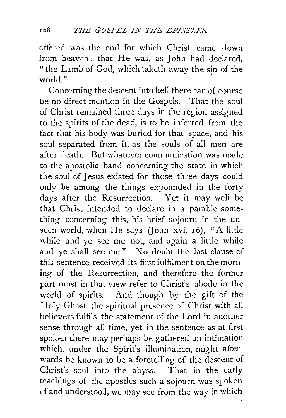offered was the end for which Christ came down from heaven ; that He was, as John had declared, "the Lamb of God, which taketh away the sin of the world."

Concerning the descent into hell there can of course be no direct mention in the Gospels. That the soul of Christ remained three days in the region assigned to the spirits of the dead, is to be inferred from the fact that his body was buried for that space, and his soul separated from it, as the souls of all men are after death. But whatever communication was made to the apostolic band concerning the state in which the soul of Jesus existed for those three days could only be among the things expounded in the forty days after the Resurrection. Yet it may well be that Christ intended to declare in a parable something concerning this, his brief sojourn in the unseen world, when He says (John xvi. 16), "A little while and ye see me not, and again a little while and ye shall see me." No doubt the last clause of this sentence received its first fulfilment on the morning of the Resurrection, and therefore the former part must in that view refer to Christ's abode in the world of spirits. And though by the gift of the Holy Ghost the spiritual presence of Christ with all believers fulfils the statement of the Lord in another sense through all time, yet in the sentence as at first spoken there may perhaps be gathered an intimation which, under the Spirit's illumination, might afterwards be known to be a foretelling of the descent of Christ's soul into the abyss. That in the early teachings of the apostles such a sojourn was spoken l f and understooJ, we may see from the way in which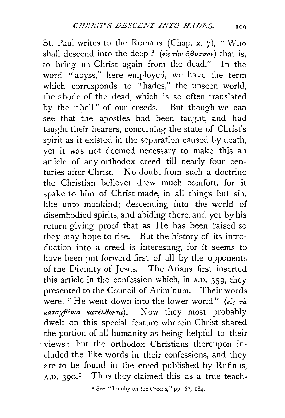St. Paul writes to the Romans (Chap. x. 7), "Who shall descend into the deep? *(* $\epsilon \hat{i} s \tau \hat{\eta} \hat{v} d\beta \hat{v} \sigma \sigma \hat{v}$ *)* that is, to bring up Christ again from the dead." In' the word "abyss,'' here employed, we have the term which corresponds to "hades," the unseen world, the abode of the dead, which is so often translated by the "hell" of our creeds. But though we can see that the apostles had been taught, and had taught their hearers, concerning the state of Christ's spirit as it existed in the separation caused by death, yet it was not deemed necessary to make this an article of any orthodox creed till nearly four centuries after Christ. No doubt from such a doctrine the Christian believer drew much comfort, for it spake to him of Christ made, in all things but sin, like unto mankind; descending into the world of disembodied spirits, and abiding there, and yet by his return giving proof that as He has been raised so they may hope to rise. But the history of its introduction into a creed is interesting, for it seems to have been put forward first of all by the opponents of the Divinity of Jesus. The Arians first inserted this article in the confession which, in  $A.D.$  359, they presented to the Council of Ariminum. Their words were, "He went down into the lower world" ( $\epsilon \zeta$   $\tau \alpha$ *KaTa)(\_Bovta KaTE'ABovTa).* Now they most probably dwelt on this special feature wherein Christ shared the portion of all humanity as being helpful to their views; but the orthodox Christians thereupon included the like words in their confessions, and they are to be found in the creed published by Rufinus,  $A.D. 390.<sup>1</sup>$  Thus they claimed this as a true teach-

' See "Lumby on the Creeds," pp. 62, 184.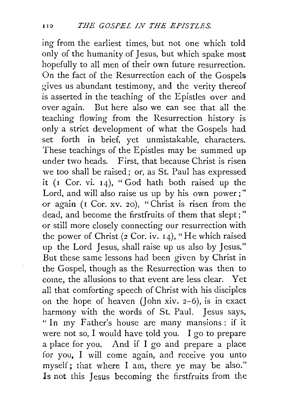ing from the earliest times, but not one which told only of the humanity of Jesus, but which spake most hopefully to all men of their own future resurrection. On the fact of the Resurrection each of the Gospels gives us abundant testimony, and the verity thereof is asserted in the teaching of the Epistles over and over agam. But here also we can see that all the teaching flowing from the Resurrection history is only a strict development of what the Gospels had set forth in brief, yet unmistakable, characters. These teachings of the Epistles may be summed up under two heads. First, that because Christ is risen we too shall be raised; or, as St. Paul has expressed it ( $I$  Cor. vi.  $I_4$ ), "God hath both raised up the Lord, and will also raise us up by his own power;" or again (I Cor. xv. 20), "Christ is risen from the dead, and become the firstfruits of them that slept;" or still more closely connecting our resurrection with the power of Christ (2 Cor. iv. I4), "He which raised up the Lord Jesus, shall raise up us also by Jesus." But these same lessons had been given by Christ in the Gospel, though as the Resurrection was then to come, the allusions to that event are less clear. Yet all that comforting speech of Christ with his disciples on the hope of heaven (John xiv.  $2-6$ ), is in exact harmony with the words of St. Paul. Jesus says, "In my Father's house are many mansions: if it were not so, I would have told you. I go to prepare a place for you. And if I go and prepare a place for you, I will come again, and receive you unto myself; that where I am, there ye may be also." Is not this Jesus becoming the firstfruits from the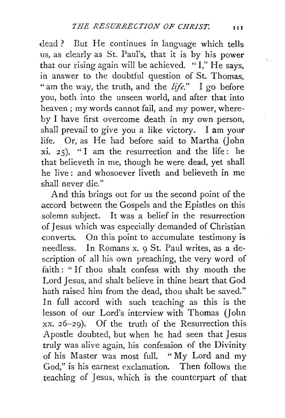dead ? But He continues in language which tells us, as clearly as St. Paul's, that it is by his power that our rising again will be achieved. "I," He says, in answer to the doubtful question of St. Thomas, "am the way, the truth, and the *life."* I go before you, both into the unseen world, and after that into heaven; my words cannot fail, and my power, whereby I have first overcome death in my own person, shall prevail to give you a like victory. I am your life. Or, as He had before said to Martha (John xi. 25), "I am the resurrection and the life: he that believeth in me, though he were dead, yet shall he live : and whosoever liveth and believeth in me shall never die."

And this brings out for us the second point of the accord between the Gospels and the Epistles on this solemn subject. It was a belief in the resurrection of Jesus which was especially demanded of Christian converts. On this point to accumulate testimony is needless. In Romans x. 9 St. Paul writes, as a description of all his own preaching, the very word of faith : " If thou shalt confess with thy mouth the Lord Jesus, and shalt believe in thine heart that God hath raised him from the dead, thou shalt be saved." In full accord with such teaching as this is the lesson of our Lord's interview with Thomas (John xx. 26-29). Of the truth of the Resurrection this Apostle doubted, but when he had seen that Jesus truly was alive again, his confession of the Divinity of his Master was most full. "My Lord and my God," is his earnest exclamation. Then follows the teaching of Jesus, which is the counterpart of that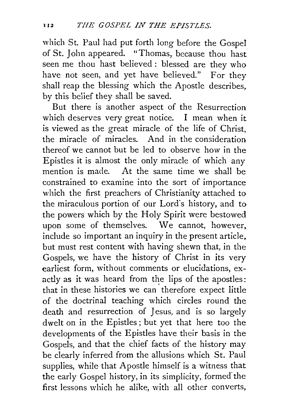which St. Paul had put forth long before the Gospel of St. John appeared. "Thomas, because thou hast seen me thou hast believed : blessed are they who have not seen, and yet have believed." For they shall reap the blessing which the Apostle describes, by this belief they shall be saved.

But there is another aspect of the Resurrection which deserves very great notice. I mean when it is viewed as the great miracle of the life of Christ, the miracle of miracles. And in the consideration thereof we cannot but be led to observe how in the Epistles it is almost the only miracle of which any mention is made. At the same time we shall be constrained to examine into the sort of importance which the first preachers of Christianity attached to the miraculous portion of our Lord's history, and to the powers which by the Holy Spirit were bestowed upon some of themselves. We cannot, however, include so important an inquiry in the present article, but must rest content with having shewn that, in the Gospels, we have the history of Christ in its very earliest form, without comments or elucidations, exactly as it was heard from the lips of the apostles: that in these histories we can' therefore expect little of the doctrinal teaching which circles round the death and resurrection of Jesus, and is so largely dwelt on in the Epistles; but yet that here too the developments of the Epistles have their basis in the Gospels, and that the chief facts of the history may be clearly inferred from the allusions which St. Paul supplies, while that Apostle himself is a witness that the early Gospel history, in its simplicity, formed the first lessons which he alike, with all other converts,